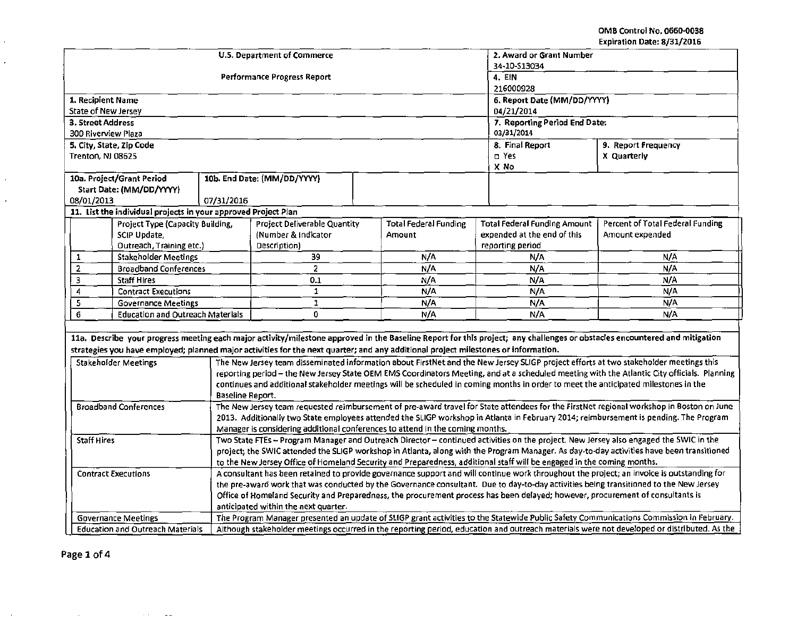OMB Control No. 0660-0038 Expiration Date: 8/31/2016

|                                                                                                                                                                                                                                              | U.S. Department of Commerce                                                                                                                                                | 2. Award or Grant Number    |                                        |                                                 |                                                                                                                                             |  |  |
|----------------------------------------------------------------------------------------------------------------------------------------------------------------------------------------------------------------------------------------------|----------------------------------------------------------------------------------------------------------------------------------------------------------------------------|-----------------------------|----------------------------------------|-------------------------------------------------|---------------------------------------------------------------------------------------------------------------------------------------------|--|--|
|                                                                                                                                                                                                                                              |                                                                                                                                                                            | 34-10-S13034                |                                        |                                                 |                                                                                                                                             |  |  |
|                                                                                                                                                                                                                                              | Performance Progress Report                                                                                                                                                | 216000928                   | 4. EIN                                 |                                                 |                                                                                                                                             |  |  |
| 1. Recipient Name                                                                                                                                                                                                                            |                                                                                                                                                                            | 6. Report Date (MM/DD/YYYY) |                                        |                                                 |                                                                                                                                             |  |  |
| State of New Jersey                                                                                                                                                                                                                          |                                                                                                                                                                            | 04/21/2014                  |                                        |                                                 |                                                                                                                                             |  |  |
| 3. Street Address                                                                                                                                                                                                                            |                                                                                                                                                                            |                             | 7. Reporting Period End Date:          |                                                 |                                                                                                                                             |  |  |
| 300 Riverview Plaza                                                                                                                                                                                                                          |                                                                                                                                                                            | 03/31/2014                  |                                        |                                                 |                                                                                                                                             |  |  |
| 5. City, State, Zip Code                                                                                                                                                                                                                     |                                                                                                                                                                            | 8. Final Report             | 9. Report Frequency                    |                                                 |                                                                                                                                             |  |  |
| Trenton, NJ 08625                                                                                                                                                                                                                            |                                                                                                                                                                            | □ Yes                       | X Quarterly                            |                                                 |                                                                                                                                             |  |  |
|                                                                                                                                                                                                                                              |                                                                                                                                                                            |                             |                                        | X No                                            |                                                                                                                                             |  |  |
| 10a. Project/Grant Period                                                                                                                                                                                                                    | 10b. End Date: (MM/DD/YYYY)                                                                                                                                                |                             |                                        |                                                 |                                                                                                                                             |  |  |
| Start Date: (MM/DD/YYYY)                                                                                                                                                                                                                     |                                                                                                                                                                            |                             |                                        |                                                 |                                                                                                                                             |  |  |
| 08/01/2013                                                                                                                                                                                                                                   | 07/31/2016                                                                                                                                                                 |                             |                                        |                                                 |                                                                                                                                             |  |  |
| 11. List the individual projects in your approved Project Plan                                                                                                                                                                               |                                                                                                                                                                            |                             |                                        |                                                 |                                                                                                                                             |  |  |
| Project Type (Capacity Building,                                                                                                                                                                                                             | <b>Project Deliverable Quantity</b>                                                                                                                                        |                             | <b>Total Federal Funding</b><br>Amount | <b>Total Federal Funding Amount</b>             | Percent of Total Federal Funding                                                                                                            |  |  |
| SCIP Update,<br>Outreach, Training etc.)                                                                                                                                                                                                     | Description)                                                                                                                                                               | (Number & Indicator         |                                        | expended at the end of this<br>reporting period | Amount expended                                                                                                                             |  |  |
| <b>Stakeholder Meetings</b><br>1                                                                                                                                                                                                             | 39                                                                                                                                                                         |                             | N/A                                    | N/A                                             | N/A                                                                                                                                         |  |  |
| $\overline{2}$<br><b>Broadband Conferences</b>                                                                                                                                                                                               | $\overline{c}$                                                                                                                                                             |                             | N/A                                    | N/A                                             | N/A                                                                                                                                         |  |  |
| 3<br><b>Staff Hires</b>                                                                                                                                                                                                                      | 0.1                                                                                                                                                                        |                             |                                        | N/A                                             | N/A                                                                                                                                         |  |  |
| 4<br><b>Contract Executions</b>                                                                                                                                                                                                              | $\mathbf{1}$                                                                                                                                                               |                             |                                        | N/A                                             | N/A                                                                                                                                         |  |  |
| 5<br><b>Governance Meetings</b>                                                                                                                                                                                                              | $\mathbf 1$                                                                                                                                                                |                             |                                        | N/A                                             | N/A                                                                                                                                         |  |  |
| 6<br><b>Education and Outreach Materials</b>                                                                                                                                                                                                 | 0                                                                                                                                                                          |                             |                                        | N/A                                             | N/A                                                                                                                                         |  |  |
|                                                                                                                                                                                                                                              |                                                                                                                                                                            |                             |                                        |                                                 |                                                                                                                                             |  |  |
|                                                                                                                                                                                                                                              | 11a. Describe your progress meeting each major activity/milestone approved in the Baseline Report for this project; any challenges or obstacles encountered and mitigation |                             |                                        |                                                 |                                                                                                                                             |  |  |
|                                                                                                                                                                                                                                              | strategies you have employed; planned major activities for the next quarter; and any additional project milestones or information.                                         |                             |                                        |                                                 |                                                                                                                                             |  |  |
| <b>Stakeholder Meetings</b>                                                                                                                                                                                                                  | The New Jersey team disseminated information about FirstNet and the New Jersey SLIGP project efforts at two stakeholder meetings this                                      |                             |                                        |                                                 |                                                                                                                                             |  |  |
|                                                                                                                                                                                                                                              |                                                                                                                                                                            |                             |                                        |                                                 | reporting period - the New Jersey State OEM EMS Coordinators Meeting, and at a scheduled meeting with the Atlantic City officials. Planning |  |  |
|                                                                                                                                                                                                                                              | continues and additional stakeholder meetings will be scheduled in coming months in order to meet the anticipated milestones in the                                        |                             |                                        |                                                 |                                                                                                                                             |  |  |
| Baseline Report.                                                                                                                                                                                                                             |                                                                                                                                                                            |                             |                                        |                                                 |                                                                                                                                             |  |  |
| The New Jersey team requested reimbursement of pre-award travel for State attendees for the FirstNet regional workshop in Boston on June<br><b>Broadband Conferences</b>                                                                     |                                                                                                                                                                            |                             |                                        |                                                 |                                                                                                                                             |  |  |
| 2013. Additionally two State employees attended the SLIGP workshop in Atlanta in February 2014; reimbursement is pending. The Program                                                                                                        |                                                                                                                                                                            |                             |                                        |                                                 |                                                                                                                                             |  |  |
| Manager is considering additional conferences to attend in the coming months.<br>Two State FTEs - Program Manager and Outreach Director - continued activities on the project. New Jersey also engaged the SWIC in the<br><b>Staff Hires</b> |                                                                                                                                                                            |                             |                                        |                                                 |                                                                                                                                             |  |  |
| project; the SWIC attended the SLIGP workshop in Atlanta, along with the Program Manager. As day-to-day activities have been transitioned                                                                                                    |                                                                                                                                                                            |                             |                                        |                                                 |                                                                                                                                             |  |  |
| to the New Jersey Office of Homeland Security and Preparedness, additional staff will be engaged in the coming months.                                                                                                                       |                                                                                                                                                                            |                             |                                        |                                                 |                                                                                                                                             |  |  |
| A consultant has been retained to provide governance support and will continue work throughout the project; an invoice is outstanding for<br><b>Contract Executions</b>                                                                      |                                                                                                                                                                            |                             |                                        |                                                 |                                                                                                                                             |  |  |
| the pre-award work that was conducted by the Governance consultant. Due to day-to-day activities being transitioned to the New Jersey                                                                                                        |                                                                                                                                                                            |                             |                                        |                                                 |                                                                                                                                             |  |  |
|                                                                                                                                                                                                                                              | Office of Homeland Security and Preparedness, the procurement process has been delayed; however, procurement of consultants is                                             |                             |                                        |                                                 |                                                                                                                                             |  |  |
|                                                                                                                                                                                                                                              | anticipated within the next quarter.                                                                                                                                       |                             |                                        |                                                 |                                                                                                                                             |  |  |
| <b>Governance Meetings</b>                                                                                                                                                                                                                   | The Program Manager presented an update of SLIGP grant activities to the Statewide Public Safety Communications Commission in February.                                    |                             |                                        |                                                 |                                                                                                                                             |  |  |
| Although stakeholder meetings occurred in the reporting period, education and outreach materials were not developed or distributed. As the<br><b>Education and Outreach Materials</b>                                                        |                                                                                                                                                                            |                             |                                        |                                                 |                                                                                                                                             |  |  |

. .

 $\epsilon$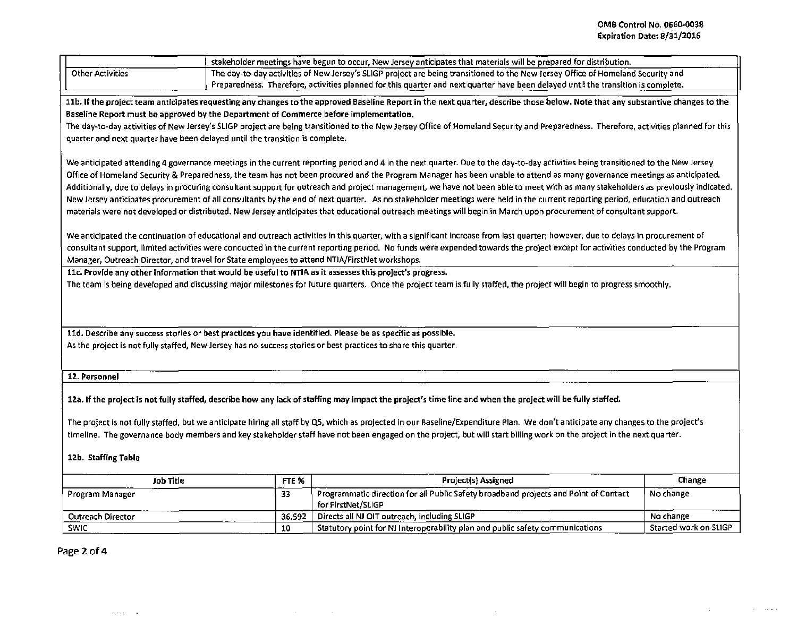$\mathcal{A}^{\mathcal{A}}_{\mathcal{A}}$  and  $\mathcal{A}^{\mathcal{A}}_{\mathcal{A}}$  are the contributions of  $\mathcal{A}^{\mathcal{A}}_{\mathcal{A}}$ 

|                                                                                                                                                                                                                                                                                                                                                                                                                                                                                                                                                                                                                                                                                                                                                                                                                                                                                                                                                                                                                                                                                                                                                                                                                                                                                                                                                                                                                                                                                                                                                                                                                                                                                                                                                                                                                                                                                                                                                                                                                                                                                                                                                                                                                           |        | stakeholder meetings have begun to occur, New Jersey anticipates that materials will be prepared for distribution. |                       |  |  |  |  |
|---------------------------------------------------------------------------------------------------------------------------------------------------------------------------------------------------------------------------------------------------------------------------------------------------------------------------------------------------------------------------------------------------------------------------------------------------------------------------------------------------------------------------------------------------------------------------------------------------------------------------------------------------------------------------------------------------------------------------------------------------------------------------------------------------------------------------------------------------------------------------------------------------------------------------------------------------------------------------------------------------------------------------------------------------------------------------------------------------------------------------------------------------------------------------------------------------------------------------------------------------------------------------------------------------------------------------------------------------------------------------------------------------------------------------------------------------------------------------------------------------------------------------------------------------------------------------------------------------------------------------------------------------------------------------------------------------------------------------------------------------------------------------------------------------------------------------------------------------------------------------------------------------------------------------------------------------------------------------------------------------------------------------------------------------------------------------------------------------------------------------------------------------------------------------------------------------------------------------|--------|--------------------------------------------------------------------------------------------------------------------|-----------------------|--|--|--|--|
| <b>Other Activities</b><br>The day-to-day activities of New Jersey's SLIGP project are being transitioned to the New Jersey Office of Homeland Security and                                                                                                                                                                                                                                                                                                                                                                                                                                                                                                                                                                                                                                                                                                                                                                                                                                                                                                                                                                                                                                                                                                                                                                                                                                                                                                                                                                                                                                                                                                                                                                                                                                                                                                                                                                                                                                                                                                                                                                                                                                                               |        |                                                                                                                    |                       |  |  |  |  |
| Preparedness. Therefore, activities planned for this quarter and next quarter have been delayed until the transition is complete.                                                                                                                                                                                                                                                                                                                                                                                                                                                                                                                                                                                                                                                                                                                                                                                                                                                                                                                                                                                                                                                                                                                                                                                                                                                                                                                                                                                                                                                                                                                                                                                                                                                                                                                                                                                                                                                                                                                                                                                                                                                                                         |        |                                                                                                                    |                       |  |  |  |  |
| 11b. If the project team anticipates requesting any changes to the approved Baseline Report in the next quarter, describe those below. Note that any substantive changes to the<br>Baseline Report must be approved by the Department of Commerce before implementation.<br>The day-to-day activities of New Jersey's SLIGP project are being transitioned to the New Jersey Office of Homeland Security and Preparedness. Therefore, activities planned for this<br>quarter and next quarter have been delayed until the transition is complete.<br>We anticipated attending 4 governance meetings in the current reporting period and 4 in the next quarter. Due to the day-to-day activities being transitioned to the New Jersey<br>Office of Homeland Security & Preparedness, the team has not been procured and the Program Manager has been unable to attend as many governance meetings as anticipated.<br>Additionally, due to delays in procuring consultant support for outreach and project management, we have not been able to meet with as many stakeholders as previously indicated.<br>New Jersey anticipates procurement of all consultants by the end of next quarter. As no stakeholder meetings were held in the current reporting period, education and outreach<br>materials were not developed or distributed. New Jersey anticipates that educational outreach meetings will begin in March upon procurement of consultant support.<br>We anticipated the continuation of educational and outreach activities in this quarter, with a significant increase from last quarter; however, due to delays in procurement of<br>consultant support, limited activities were conducted in the current reporting period. No funds were expended towards the project except for activities conducted by the Program<br>Manager, Outreach Director, and travel for State employees to attend NTIA/FirstNet workshops.<br>11c. Provide any other information that would be useful to NTIA as it assesses this project's progress.<br>The team is being developed and discussing major milestones for future quarters. Once the project team is fully staffed, the project will begin to progress smoothly. |        |                                                                                                                    |                       |  |  |  |  |
| 11d. Describe any success stories or best practices you have identified. Please be as specific as possible.<br>As the project is not fully staffed, New Jersey has no success stories or best practices to share this quarter.                                                                                                                                                                                                                                                                                                                                                                                                                                                                                                                                                                                                                                                                                                                                                                                                                                                                                                                                                                                                                                                                                                                                                                                                                                                                                                                                                                                                                                                                                                                                                                                                                                                                                                                                                                                                                                                                                                                                                                                            |        |                                                                                                                    |                       |  |  |  |  |
| 12. Personnel                                                                                                                                                                                                                                                                                                                                                                                                                                                                                                                                                                                                                                                                                                                                                                                                                                                                                                                                                                                                                                                                                                                                                                                                                                                                                                                                                                                                                                                                                                                                                                                                                                                                                                                                                                                                                                                                                                                                                                                                                                                                                                                                                                                                             |        |                                                                                                                    |                       |  |  |  |  |
| 12a. If the project is not fully staffed, describe how any lack of staffing may impact the project's time line and when the project will be fully staffed.<br>The project is not fully staffed, but we anticipate hiring all staff by Q5, which as projected in our Baseline/Expenditure Plan. We don't anticipate any changes to the project's<br>timeline. The governance body members and key stakeholder staff have not been engaged on the project, but will start billing work on the project in the next quarter.<br>12b. Staffing Table                                                                                                                                                                                                                                                                                                                                                                                                                                                                                                                                                                                                                                                                                                                                                                                                                                                                                                                                                                                                                                                                                                                                                                                                                                                                                                                                                                                                                                                                                                                                                                                                                                                                           |        |                                                                                                                    |                       |  |  |  |  |
| Job Title                                                                                                                                                                                                                                                                                                                                                                                                                                                                                                                                                                                                                                                                                                                                                                                                                                                                                                                                                                                                                                                                                                                                                                                                                                                                                                                                                                                                                                                                                                                                                                                                                                                                                                                                                                                                                                                                                                                                                                                                                                                                                                                                                                                                                 | FTE %  | <b>Project(s) Assigned</b>                                                                                         | Change                |  |  |  |  |
| Program Manager                                                                                                                                                                                                                                                                                                                                                                                                                                                                                                                                                                                                                                                                                                                                                                                                                                                                                                                                                                                                                                                                                                                                                                                                                                                                                                                                                                                                                                                                                                                                                                                                                                                                                                                                                                                                                                                                                                                                                                                                                                                                                                                                                                                                           | 33.    | Programmatic direction for all Public Safety broadband projects and Point of Contact<br>for FirstNet/SLIGP         | No change             |  |  |  |  |
| Outreach Director                                                                                                                                                                                                                                                                                                                                                                                                                                                                                                                                                                                                                                                                                                                                                                                                                                                                                                                                                                                                                                                                                                                                                                                                                                                                                                                                                                                                                                                                                                                                                                                                                                                                                                                                                                                                                                                                                                                                                                                                                                                                                                                                                                                                         | 36.592 | Directs all NJ OIT outreach, including SLIGP                                                                       | No change             |  |  |  |  |
| <b>SWIC</b>                                                                                                                                                                                                                                                                                                                                                                                                                                                                                                                                                                                                                                                                                                                                                                                                                                                                                                                                                                                                                                                                                                                                                                                                                                                                                                                                                                                                                                                                                                                                                                                                                                                                                                                                                                                                                                                                                                                                                                                                                                                                                                                                                                                                               | 10     | Statutory point for NJ Interoperability plan and public safety communications                                      | Started work on SLIGP |  |  |  |  |

 $\sim 10^{-1}$ 

 $\mathcal{L}(\mathcal{L}(\mathcal{L}))$  and  $\mathcal{L}(\mathcal{L}(\mathcal{L}))$  and  $\mathcal{L}(\mathcal{L}(\mathcal{L}))$  . Then

Page 2 of 4

 $\mathcal{A}$  and  $\mathcal{A}=\mathcal{A}$  .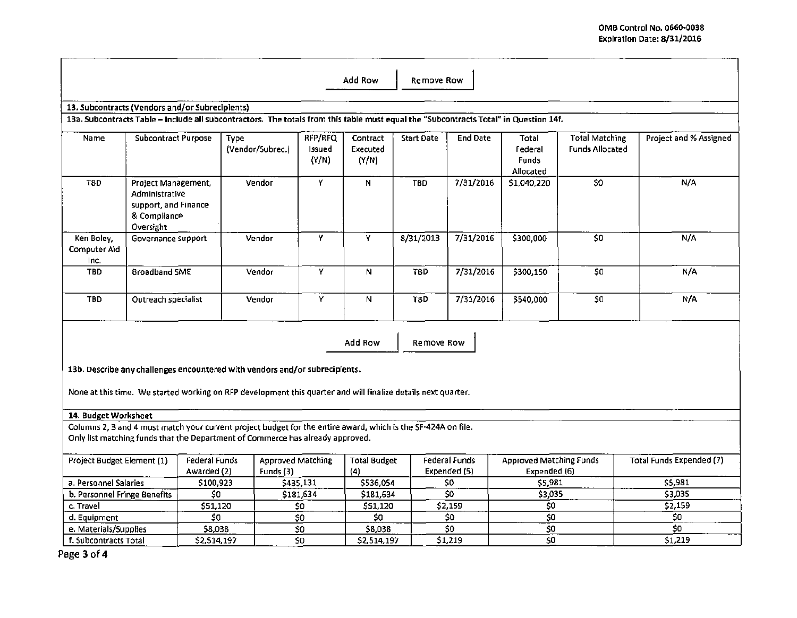| Add Row<br>Remove Row                                                                                                                                                                           |                                                                                            |                              |                                                                             |                            |                               |                   |                                         |                                               |                                                 |                                 |
|-------------------------------------------------------------------------------------------------------------------------------------------------------------------------------------------------|--------------------------------------------------------------------------------------------|------------------------------|-----------------------------------------------------------------------------|----------------------------|-------------------------------|-------------------|-----------------------------------------|-----------------------------------------------|-------------------------------------------------|---------------------------------|
| 13. Subcontracts (Vendors and/or Subrecipients)                                                                                                                                                 |                                                                                            |                              |                                                                             |                            |                               |                   |                                         |                                               |                                                 |                                 |
| 13a. Subcontracts Table - Include all subcontractors. The totals from this table must equal the "Subcontracts Total" in Question 14f.                                                           |                                                                                            |                              |                                                                             |                            |                               |                   |                                         |                                               |                                                 |                                 |
| Name                                                                                                                                                                                            | <b>Subcontract Purpose</b>                                                                 |                              | Type<br>(Vendor/Subrec.)                                                    | RFP/RFQ<br>Issued<br>(Y/N) | Contract<br>Executed<br>(Y/N) | <b>Start Date</b> | <b>End Date</b>                         | Total<br>Federal<br><b>Funds</b><br>Allocated | <b>Total Matching</b><br><b>Funds Allocated</b> | Project and % Assigned          |
| T8D                                                                                                                                                                                             | Project Management,<br>Administrative<br>support, and Finance<br>& Compliance<br>Oversight |                              | Vendor                                                                      | Y                          | N                             | TBD.              | 7/31/2016                               | \$1,040,220                                   | \$O                                             | N/A                             |
| Ken Boley,<br>Computer Aid<br>Inc.                                                                                                                                                              | Governance support                                                                         |                              | Vendor                                                                      | Y                          | Y                             | 8/31/2013         | 7/31/2016                               | \$300,000                                     | \$0                                             | N/A                             |
| <b>TBD</b>                                                                                                                                                                                      | <b>Broadband SME</b>                                                                       |                              | Vendor                                                                      | Y                          | N.                            | $\overline{18D}$  | 7/31/2016                               | \$300,150                                     | $\overline{50}$                                 | N/A                             |
| <b>TBD</b>                                                                                                                                                                                      | Outreach specialist                                                                        |                              | Vendor                                                                      | Y                          | N                             | T8D               | 7/31/2016                               | \$540,000                                     | \$0                                             | N/A                             |
| Add Row<br>Remove Row                                                                                                                                                                           |                                                                                            |                              |                                                                             |                            |                               |                   |                                         |                                               |                                                 |                                 |
|                                                                                                                                                                                                 |                                                                                            |                              | 13b. Describe any challenges encountered with vendors and/or subrecipients. |                            |                               |                   |                                         |                                               |                                                 |                                 |
| None at this time. We started working on RFP development this quarter and will finalize details next quarter.                                                                                   |                                                                                            |                              |                                                                             |                            |                               |                   |                                         |                                               |                                                 |                                 |
| 14. Budget Worksheet                                                                                                                                                                            |                                                                                            |                              |                                                                             |                            |                               |                   |                                         |                                               |                                                 |                                 |
| Columns 2, 3 and 4 must match your current project budget for the entire award, which is the SF-424A on file.<br>Only list matching funds that the Department of Commerce has already approved. |                                                                                            |                              |                                                                             |                            |                               |                   |                                         |                                               |                                                 |                                 |
| Project Budget Element (1)                                                                                                                                                                      |                                                                                            | <b>Federal Funds</b>         | <b>Approved Matching</b>                                                    |                            | <b>Total Budget</b>           |                   | <b>Federal Funds</b>                    | <b>Approved Matching Funds</b>                |                                                 | <b>Total Funds Expended (7)</b> |
|                                                                                                                                                                                                 |                                                                                            | Awarded (2)                  | Funds (3)                                                                   |                            | (4)                           |                   | Expended (5)                            | Expended (6)                                  |                                                 |                                 |
| a. Personnel Salaries<br>b. Personnel Fringe Benefits                                                                                                                                           |                                                                                            | \$100,923<br>$\overline{50}$ |                                                                             | \$435,131<br>\$181,634     | \$536,054<br>\$181,634        |                   | \$0<br>$\overline{\boldsymbol{\omega}}$ | \$5,981<br>53,035                             |                                                 | \$5,981<br>\$3,035              |
| c. Travel                                                                                                                                                                                       |                                                                                            | \$51,120                     |                                                                             | \$0                        | \$51,120                      |                   | \$2,159                                 | \$0                                           |                                                 | \$2,159                         |
| d. Equipment                                                                                                                                                                                    |                                                                                            | \$0                          |                                                                             | \$0                        | 50                            |                   | \$0                                     | $\overline{\xi}0$                             |                                                 | \$0                             |
| e. Materials/Supplies                                                                                                                                                                           |                                                                                            | \$8,038                      |                                                                             | \$0                        | \$8,038                       |                   | \$0                                     | $\overline{\$0}$                              |                                                 | \$0                             |
| f. Subcontracts Total                                                                                                                                                                           |                                                                                            | \$2,514,197                  |                                                                             | \$0                        | \$2,514,197                   |                   | \$1,219                                 | $\overline{\mathsf{S}}$ 0                     |                                                 | 51,219                          |

Page 3 of 4